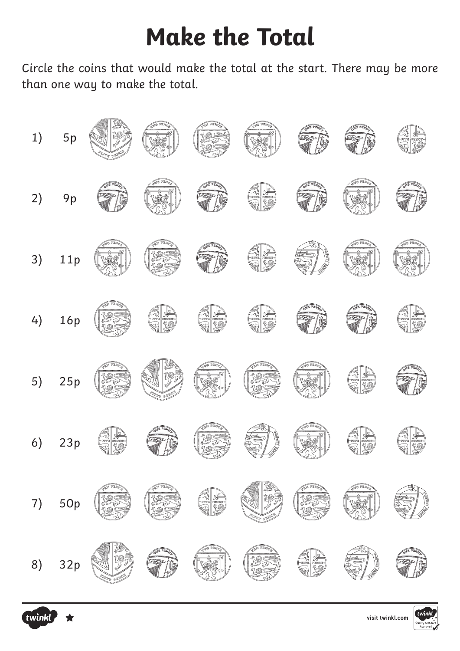# **Make the Total**

Circle the coins that would make the total at the start. There may be more than one way to make the total.





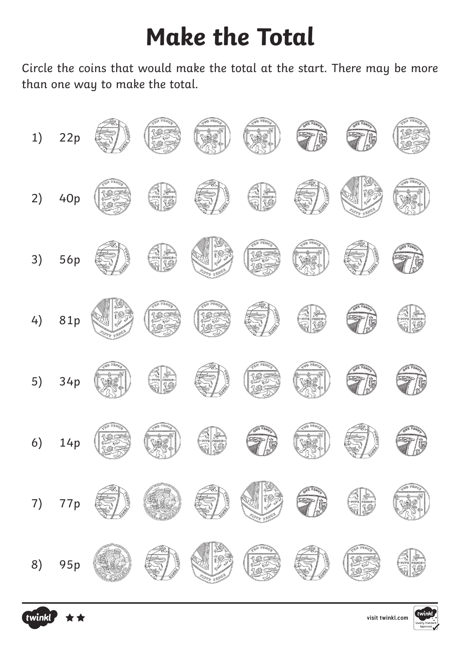# **Make the Total**

Circle the coins that would make the total at the start. There may be more than one way to make the total.





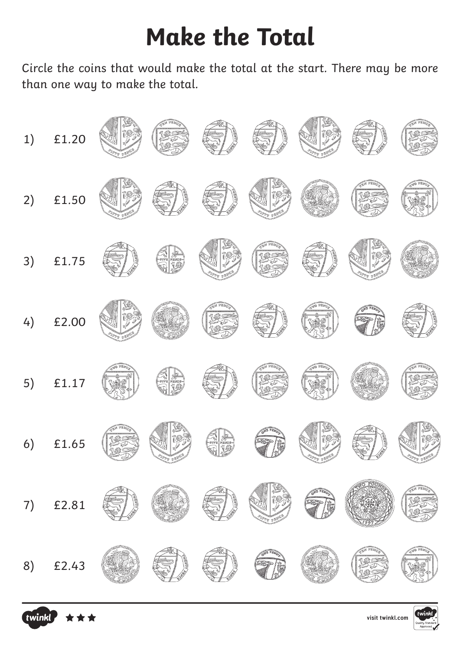# **Make the Total**

Circle the coins that would make the total at the start. There may be more than one way to make the total.





**[visit twinkl.com](https://www.twinkl.co.uk/resources/shape-spaces-and-measures/money-coins/counting-in-coins-money-coins-measurement-maths-key-stage-1-year-1-year-2)**